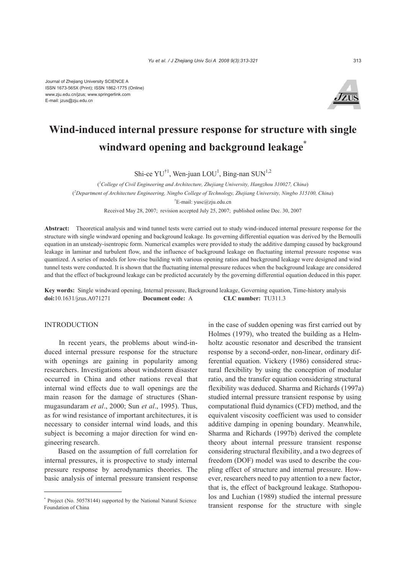

# **Wind-induced internal pressure response for structure with single windward opening and background leakage\***

Shi-ce  $\text{YU}^{\dagger 1}$ , Wen-juan  $\text{LOU}^1$ , Bing-nan  $\text{SUN}^{1,2}$ 

( *1 College of Civil Engineering and Architecture, Zhejiang University, Hangzhou 310027, China*) ( *2 Department of Architecture Engineering, Ningbo College of Technology, Zhejiang University, Ningbo 315100, China*) † E-mail: yusc@zju.edu.cn Received May 28, 2007; revision accepted July 25, 2007; published online Dec. 30, 2007

**Abstract:** Theoretical analysis and wind tunnel tests were carried out to study wind-induced internal pressure response for the structure with single windward opening and background leakage. Its governing differential equation was derived by the Bernoulli equation in an unsteady-isentropic form. Numerical examples were provided to study the additive damping caused by background leakage in laminar and turbulent flow, and the influence of background leakage on fluctuating internal pressure response was quantized. A series of models for low-rise building with various opening ratios and background leakage were designed and wind tunnel tests were conducted. It is shown that the fluctuating internal pressure reduces when the background leakage are considered and that the effect of background leakage can be predicted accurately by the governing differential equation deduced in this paper.

**Key words:** Single windward opening, Internal pressure, Background leakage, Governing equation, Time-history analysis **doi:**10.1631/jzus.A071271 **Document code:** A **CLC number:** TU311.3

# **INTRODUCTION**

In recent years, the problems about wind-induced internal pressure response for the structure with openings are gaining in popularity among researchers. Investigations about windstorm disaster occurred in China and other nations reveal that internal wind effects due to wall openings are the main reason for the damage of structures (Shanmugasundaram *et al*., 2000; Sun *et al*., 1995). Thus, as for wind resistance of important architectures, it is necessary to consider internal wind loads, and this subject is becoming a major direction for wind engineering research.

Based on the assumption of full correlation for internal pressures, it is prospective to study internal pressure response by aerodynamics theories. The basic analysis of internal pressure transient response in the case of sudden opening was first carried out by Holmes (1979), who treated the building as a Helmholtz acoustic resonator and described the transient response by a second-order, non-linear, ordinary differential equation. Vickery (1986) considered structural flexibility by using the conception of modular ratio, and the transfer equation considering structural flexibility was deduced. Sharma and Richards (1997a) studied internal pressure transient response by using computational fluid dynamics (CFD) method, and the equivalent viscosity coefficient was used to consider additive damping in opening boundary. Meanwhile, Sharma and Richards (1997b) derived the complete theory about internal pressure transient response considering structural flexibility, and a two degrees of freedom (DOF) model was used to describe the coupling effect of structure and internal pressure. However, researchers need to pay attention to a new factor, that is, the effect of background leakage. Stathopoulos and Luchian (1989) studied the internal pressure transient response for the structure with single

<sup>\*</sup> Project (No. 50578144) supported by the National Natural Science Foundation of China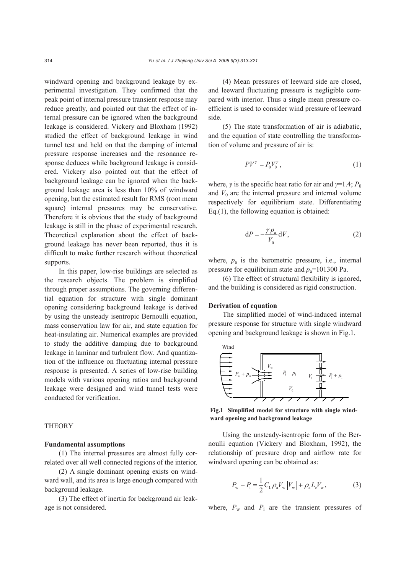windward opening and background leakage by experimental investigation. They confirmed that the peak point of internal pressure transient response may reduce greatly, and pointed out that the effect of internal pressure can be ignored when the background leakage is considered. Vickery and Bloxham (1992) studied the effect of background leakage in wind tunnel test and held on that the damping of internal pressure response increases and the resonance response deduces while background leakage is considered. Vickery also pointed out that the effect of background leakage can be ignored when the background leakage area is less than 10% of windward opening, but the estimated result for RMS (root mean square) internal pressures may be conservative. Therefore it is obvious that the study of background leakage is still in the phase of experimental research. Theoretical explanation about the effect of background leakage has never been reported, thus it is difficult to make further research without theoretical supports.

In this paper, low-rise buildings are selected as the research objects. The problem is simplified through proper assumptions. The governing differential equation for structure with single dominant opening considering background leakage is derived by using the unsteady isentropic Bernoulli equation, mass conservation law for air, and state equation for heat-insulating air. Numerical examples are provided to study the additive damping due to background leakage in laminar and turbulent flow. And quantization of the influence on fluctuating internal pressure response is presented. A series of low-rise building models with various opening ratios and background leakage were designed and wind tunnel tests were conducted for verification.

#### **THEORY**

## **Fundamental assumptions**

(1) The internal pressures are almost fully correlated over all well connected regions of the interior.

(2) A single dominant opening exists on windward wall, and its area is large enough compared with background leakage.

(3) The effect of inertia for background air leakage is not considered.

(4) Mean pressures of leeward side are closed, and leeward fluctuating pressure is negligible compared with interior. Thus a single mean pressure coefficient is used to consider wind pressure of leeward side.

(5) The state transformation of air is adiabatic, and the equation of state controlling the transformation of volume and pressure of air is:

$$
PV^{\gamma} = P_0 V_0^{\gamma},\tag{1}
$$

where, *γ* is the specific heat ratio for air and  $\gamma=1.4$ ;  $P_0$ and  $V_0$  are the internal pressure and internal volume respectively for equilibrium state. Differentiating Eq.(1), the following equation is obtained:

$$
dP = -\frac{\gamma p_a}{V_0} dV, \qquad (2)
$$

where,  $p_a$  is the barometric pressure, i.e., internal pressure for equilibrium state and  $p_a$ =101300 Pa.

(6) The effect of structural flexibility is ignored, and the building is considered as rigid construction.

#### **Derivation of equation**

The simplified model of wind-induced internal pressure response for structure with single windward opening and background leakage is shown in Fig.1.



**Fig.1 Simplified model for structure with single windward opening and background leakage** 

Using the unsteady-isentropic form of the Bernoulli equation (Vickery and Bloxham, 1992), the relationship of pressure drop and airflow rate for windward opening can be obtained as:

$$
P_{\rm w} - P_{\rm i} = \frac{1}{2} C_{\rm L} \rho_{\rm a} V_{\rm w} |V_{\rm w}| + \rho_{\rm a} L_{\rm e} V_{\rm w},\tag{3}
$$

where,  $P_w$  and  $P_i$  are the transient pressures of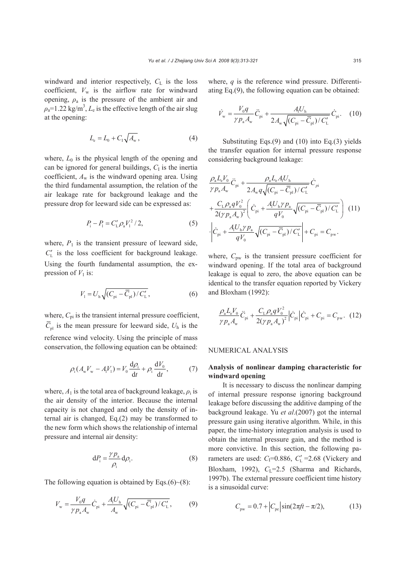windward and interior respectively,  $C_{L}$  is the loss coefficient,  $V_w$  is the airflow rate for windward opening,  $\rho_a$  is the pressure of the ambient air and  $\rho_a$ =1.22 kg/m<sup>3</sup>,  $L_e$  is the effective length of the air slug at the opening:

$$
L_{\rm e} = L_0 + C_1 \sqrt{A_{\rm w}}, \tag{4}
$$

where,  $L_0$  is the physical length of the opening and can be ignored for general buildings,  $C<sub>I</sub>$  is the inertia coefficient, *A*w is the windward opening area. Using the third fundamental assumption, the relation of the air leakage rate for background leakage and the pressure drop for leeward side can be expressed as:

$$
P_{\rm i} - P_{\rm l} = C_{\rm L}' \rho_{\rm a} V_{\rm l}^2 / 2,\tag{5}
$$

where,  $P_1$  is the transient pressure of leeward side,  $C'_{L}$  is the loss coefficient for background leakage. Using the fourth fundamental assumption, the expression of  $V_1$  is:

$$
V_1 = U_{\rm h} \sqrt{(C_{\rm pi} - \overline{C}_{\rm pl})/C'_{\rm L}},
$$
 (6)

where,  $C_{pi}$  is the transient internal pressure coefficient,  $\overline{C}_{\text{nl}}$  is the mean pressure for leeward side,  $U_{\text{h}}$  is the reference wind velocity. Using the principle of mass conservation, the following equation can be obtained:

$$
\rho_{i}(A_{w}V_{w} - A_{i}V_{1}) = V_{0}\frac{d\rho_{i}}{dt} + \rho_{i}\frac{dV_{0}}{dt},
$$
 (7)

where,  $A_1$  is the total area of background leakage,  $\rho_i$  is the air density of the interior. Because the internal capacity is not changed and only the density of internal air is changed, Eq.(2) may be transformed to the new form which shows the relationship of internal pressure and internal air density:

$$
dP_i = \frac{\gamma p_a}{\rho_i} d\rho_i.
$$
 (8)

The following equation is obtained by Eqs. $(6)~(8)$ :

$$
V_{\rm w} = \frac{V_0 q}{\gamma p_{\rm a} A_{\rm w}} \dot{C}_{\rm pi} + \frac{A_{\rm i} U_{\rm h}}{A_{\rm w}} \sqrt{(C_{\rm pi} - \overline{C}_{\rm pl})/C_{\rm L}'},\tag{9}
$$

where, *q* is the reference wind pressure. Differentiating Eq.(9), the following equation can be obtained:

$$
\dot{V}_{\rm w} = \frac{V_0 q}{\gamma p_{\rm a} A_{\rm w}} \ddot{C}_{\rm pi} + \frac{A_{\rm i} U_{\rm h}}{2A_{\rm w} \sqrt{(C_{\rm pi} - \overline{C}_{\rm pl})/C_{\rm L}'}} \dot{C}_{\rm pi}.
$$
 (10)

Substituting Eqs.(9) and (10) into Eq.(3) yields the transfer equation for internal pressure response considering background leakage:

$$
\frac{\rho_{a}L_{e}V_{0}}{\gamma p_{a}A_{w}}\ddot{C}_{pi} + \frac{\rho_{a}L_{e}A_{1}U_{h}}{2A_{w}q\sqrt{(C_{pi}-\overline{C}_{p1})/C'_{L}}}\dot{C}_{pi}
$$
\n
$$
+\frac{C_{L}\rho_{a}qV_{0}^{2}}{2(\gamma p_{a}A_{w})^{2}}\left(\dot{C}_{pi} + \frac{A_{1}U_{h}\gamma p_{a}}{qV_{0}}\sqrt{(C_{pi}-\overline{C}_{p1})/C'_{L}}\right) (11)
$$
\n
$$
\cdot \left|\dot{C}_{pi} + \frac{A_{1}U_{h}\gamma p_{a}}{qV_{0}}\sqrt{(C_{pi}-\overline{C}_{p1})/C'_{L}}\right| + C_{pi} = C_{pw}.
$$

where,  $C_{\text{pw}}$  is the transient pressure coefficient for windward opening. If the total area of background leakage is equal to zero, the above equation can be identical to the transfer equation reported by Vickery and Bloxham (1992):

$$
\frac{\rho_{a}L_{e}V_{0}}{\gamma p_{a}A_{w}}\ddot{C}_{pi} + \frac{C_{L}\rho_{a}qV_{0}^{2}}{2(\gamma p_{a}A_{w})^{2}}\Big|\dot{C}_{pi}\Big|\dot{C}_{pi} + C_{pi} = C_{pw}.\tag{12}
$$

# NUMERICAL ANALYSIS

# **Analysis of nonlinear damping characteristic for windward opening**

It is necessary to discuss the nonlinear damping of internal pressure response ignoring background leakage before discussing the additive damping of the background leakage. Yu *et al*.(2007) got the internal pressure gain using iterative algorithm. While, in this paper, the time-history integration analysis is used to obtain the internal pressure gain, and the method is more convictive. In this section, the following parameters are used:  $C_1=0.886$ ,  $C'_L=2.68$  (Vickery and Bloxham, 1992), C<sub>L</sub>=2.5 (Sharma and Richards, 1997b). The external pressure coefficient time history is a sinusoidal curve:

$$
C_{\text{pw}} = 0.7 + \left| C_{\text{pe}} \right| \sin(2\pi ft - \pi/2), \tag{13}
$$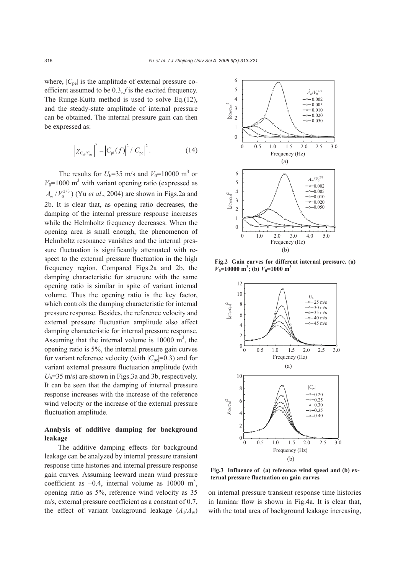where,  $|C_{pe}|$  is the amplitude of external pressure coefficient assumed to be 0.3, *f* is the excited frequency. The Runge-Kutta method is used to solve Eq.(12), and the steady-state amplitude of internal pressure can be obtained. The internal pressure gain can then be expressed as:

$$
\left| \chi_{C_{\text{pi}}/C_{\text{pe}}} \right|^2 = \left| C_{\text{pi}}(f) \right|^2 / \left| C_{\text{pe}} \right|^2. \tag{14}
$$

The results for  $U_h$ =35 m/s and  $V_0$ =10000 m<sup>3</sup> or  $V_0$ =1000 m<sup>3</sup> with variant opening ratio (expressed as  $A_w / V_0^{2/3}$ ) (Yu *et al.*, 2004) are shown in Figs.2a and 2b. It is clear that, as opening ratio decreases, the damping of the internal pressure response increases while the Helmholtz frequency decreases. When the opening area is small enough, the phenomenon of Helmholtz resonance vanishes and the internal pressure fluctuation is significantly attenuated with respect to the external pressure fluctuation in the high frequency region. Compared Figs.2a and 2b, the damping characteristic for structure with the same opening ratio is similar in spite of variant internal volume. Thus the opening ratio is the key factor, which controls the damping characteristic for internal pressure response. Besides, the reference velocity and external pressure fluctuation amplitude also affect damping characteristic for internal pressure response. Assuming that the internal volume is  $10000 \text{ m}^3$ , the opening ratio is 5%, the internal pressure gain curves for variant reference velocity (with  $|C_{pe}|=0.3$ ) and for variant external pressure fluctuation amplitude (with *U*h=35 m/s) are shown in Figs.3a and 3b, respectively. It can be seen that the damping of internal pressure response increases with the increase of the reference wind velocity or the increase of the external pressure fluctuation amplitude.

# **Analysis of additive damping for background leakage**

The additive damping effects for background leakage can be analyzed by internal pressure transient response time histories and internal pressure response gain curves. Assuming leeward mean wind pressure coefficient as  $-0.4$ , internal volume as 10000 m<sup>3</sup>, opening ratio as 5%, reference wind velocity as 35 m/s, external pressure coefficient as a constant of 0.7, the effect of variant background leakage  $(A_1/A_w)$ 



**Fig.2 Gain curves for different internal pressure. (a)**  $V_0$ =10000 m<sup>3</sup>; (b)  $V_0$ =1000 m<sup>3</sup>



**Fig.3 Influence of (a) reference wind speed and (b) external pressure fluctuation on gain curves**

on internal pressure transient response time histories in laminar flow is shown in Fig.4a. It is clear that, with the total area of background leakage increasing,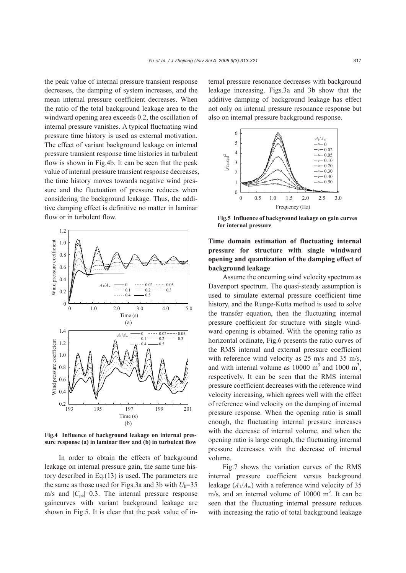the peak value of internal pressure transient response decreases, the damping of system increases, and the mean internal pressure coefficient decreases. When the ratio of the total background leakage area to the windward opening area exceeds 0.2, the oscillation of internal pressure vanishes. A typical fluctuating wind pressure time history is used as external motivation. The effect of variant background leakage on internal pressure transient response time histories in turbulent flow is shown in Fig.4b. It can be seen that the peak value of internal pressure transient response decreases, the time history moves towards negative wind pressure and the fluctuation of pressure reduces when considering the background leakage. Thus, the additive damping effect is definitive no matter in laminar flow or in turbulent flow.



**Fig.4 Influence of background leakage on internal pressure response (a) in laminar flow and (b) in turbulent flow**

In order to obtain the effects of background leakage on internal pressure gain, the same time history described in Eq.(13) is used. The parameters are the same as those used for Figs.3a and 3b with  $U_h$ =35 m/s and  $|C_{pe}|$ =0.3. The internal pressure response gaincurves with variant background leakage are shown in Fig.5. It is clear that the peak value of internal pressure resonance decreases with background leakage increasing. Figs.3a and 3b show that the additive damping of background leakage has effect not only on internal pressure resonance response but also on internal pressure background response.



**Fig.5 Influence of background leakage on gain curves for internal pressure**

# **Time domain estimation of fluctuating internal pressure for structure with single windward opening and quantization of the damping effect of background leakage**

Assume the oncoming wind velocity spectrum as Davenport spectrum. The quasi-steady assumption is used to simulate external pressure coefficient time history, and the Runge-Kutta method is used to solve the transfer equation, then the fluctuating internal pressure coefficient for structure with single windward opening is obtained. With the opening ratio as horizontal ordinate, Fig.6 presents the ratio curves of the RMS internal and external pressure coefficient with reference wind velocity as 25 m/s and 35 m/s, and with internal volume as  $10000 \text{ m}^3$  and  $1000 \text{ m}^3$ , respectively. It can be seen that the RMS internal pressure coefficient decreases with the reference wind velocity increasing, which agrees well with the effect of reference wind velocity on the damping of internal pressure response. When the opening ratio is small enough, the fluctuating internal pressure increases with the decrease of internal volume, and when the opening ratio is large enough, the fluctuating internal pressure decreases with the decrease of internal volume.

Fig.7 shows the variation curves of the RMS internal pressure coefficient versus background leakage  $(A_1/A_w)$  with a reference wind velocity of 35 m/s, and an internal volume of  $10000 \text{ m}^3$ . It can be seen that the fluctuating internal pressure reduces with increasing the ratio of total background leakage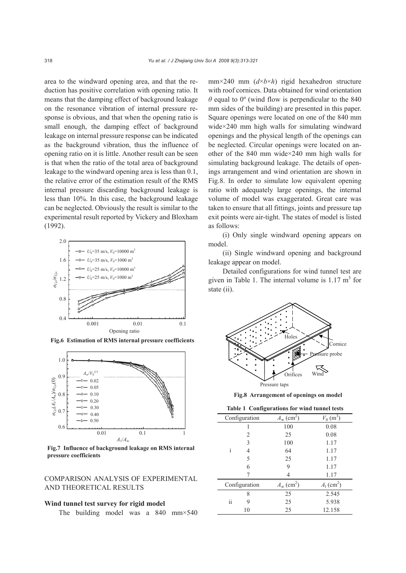area to the windward opening area, and that the reduction has positive correlation with opening ratio. It means that the damping effect of background leakage on the resonance vibration of internal pressure response is obvious, and that when the opening ratio is small enough, the damping effect of background leakage on internal pressure response can be indicated as the background vibration, thus the influence of opening ratio on it is little. Another result can be seen is that when the ratio of the total area of background leakage to the windward opening area is less than 0.1, the relative error of the estimation result of the RMS internal pressure discarding background leakage is less than 10%. In this case, the background leakage can be neglected. Obviously the result is similar to the experimental result reported by Vickery and Bloxham (1992).



**Fig.6 Estimation of RMS internal pressure coefficients**



**Fig.7 Influence of background leakage on RMS internal pressure coefficients**

COMPARISON ANALYSIS OF EXPERIMENTAL AND THEORETICAL RESULTS

# **Wind tunnel test survey for rigid model**

The building model was a 840 mm×540

mm×240 mm (*d*×*b*×*h*) rigid hexahedron structure with roof cornices. Data obtained for wind orientation  $\theta$  equal to 0<sup>o</sup> (wind flow is perpendicular to the 840 mm sides of the building) are presented in this paper. Square openings were located on one of the 840 mm wide×240 mm high walls for simulating windward openings and the physical length of the openings can be neglected. Circular openings were located on another of the 840 mm wide×240 mm high walls for simulating background leakage. The details of openings arrangement and wind orientation are shown in Fig.8. In order to simulate low equivalent opening ratio with adequately large openings, the internal volume of model was exaggerated. Great care was taken to ensure that all fittings, joints and pressure tap exit points were air-tight. The states of model is listed as follows:

(i) Only single windward opening appears on model.

(ii) Single windward opening and background leakage appear on model.

Detailed configurations for wind tunnel test are given in Table 1. The internal volume is  $1.17 \text{ m}^3$  for state (ii).



**Fig.8 Arrangement of openings on model**

|  | Table 1 Configurations for wind tunnel tests |  |  |  |  |
|--|----------------------------------------------|--|--|--|--|
|--|----------------------------------------------|--|--|--|--|

| Configuration              | $A_{\rm w}$ (cm <sup>2</sup> ) | $V_0$ (m <sup>3</sup> )  |
|----------------------------|--------------------------------|--------------------------|
|                            | 100                            | 0.08                     |
| 2                          | 25                             | 0.08                     |
| 3                          | 100                            | 1.17                     |
| i<br>4                     | 64                             | 1.17                     |
| 5                          | 25                             | 1.17                     |
| 6                          | 9                              | 1.17                     |
|                            |                                | 1.17                     |
| Configuration              | $A_{\rm w}$ (cm <sup>2</sup> ) | $A_1$ (cm <sup>2</sup> ) |
| 8                          | 25                             | 2.545                    |
| ٠.<br>9<br>$\overline{11}$ | 25                             | 5.938                    |
| 10                         | 25                             | 12.158                   |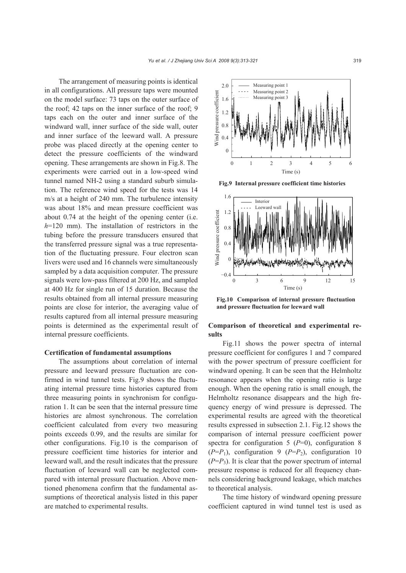The arrangement of measuring points is identical in all configurations. All pressure taps were mounted on the model surface: 73 taps on the outer surface of the roof; 42 taps on the inner surface of the roof; 9 taps each on the outer and inner surface of the windward wall, inner surface of the side wall, outer and inner surface of the leeward wall. A pressure probe was placed directly at the opening center to detect the pressure coefficients of the windward opening. These arrangements are shown in Fig.8. The experiments were carried out in a low-speed wind tunnel named NH-2 using a standard suburb simulation. The reference wind speed for the tests was 14 m/s at a height of 240 mm. The turbulence intensity was about 18% and mean pressure coefficient was about 0.74 at the height of the opening center (i.e. *h*=120 mm). The installation of restrictors in the tubing before the pressure transducers ensured that the transferred pressure signal was a true representation of the fluctuating pressure. Four electron scan livers were used and 16 channels were simultaneously sampled by a data acquisition computer. The pressure signals were low-pass filtered at 200 Hz, and sampled at 400 Hz for single run of 15 duration. Because the results obtained from all internal pressure measuring points are close for interior, the averaging value of results captured from all internal pressure measuring points is determined as the experimental result of internal pressure coefficients.

## **Certification of fundamental assumptions**

The assumptions about correlation of internal pressure and leeward pressure fluctuation are confirmed in wind tunnel tests. Fig.9 shows the fluctuating internal pressure time histories captured from three measuring points in synchronism for configuration 1. It can be seen that the internal pressure time histories are almost synchronous. The correlation coefficient calculated from every two measuring points exceeds 0.99, and the results are similar for other configurations. Fig.10 is the comparison of pressure coefficient time histories for interior and leeward wall, and the result indicates that the pressure fluctuation of leeward wall can be neglected compared with internal pressure fluctuation. Above mentioned phenomena confirm that the fundamental assumptions of theoretical analysis listed in this paper are matched to experimental results.



**Fig.9 Internal pressure coefficient time histories**



**Fig.10 Comparison of internal pressure fluctuation and pressure fluctuation for leeward wall**

# **Comparison of theoretical and experimental results**

Fig.11 shows the power spectra of internal pressure coefficient for configures 1 and 7 compared with the power spectrum of pressure coefficient for windward opening. It can be seen that the Helmholtz resonance appears when the opening ratio is large enough. When the opening ratio is small enough, the Helmholtz resonance disappears and the high frequency energy of wind pressure is depressed. The experimental results are agreed with the theoretical results expressed in subsection 2.1. Fig.12 shows the comparison of internal pressure coefficient power spectra for configuration 5 ( $P=0$ ), configuration 8  $(P=P_1)$ , configuration 9  $(P=P_2)$ , configuration 10  $(P=P_3)$ . It is clear that the power spectrum of internal pressure response is reduced for all frequency channels considering background leakage, which matches to theoretical analysis.

The time history of windward opening pressure coefficient captured in wind tunnel test is used as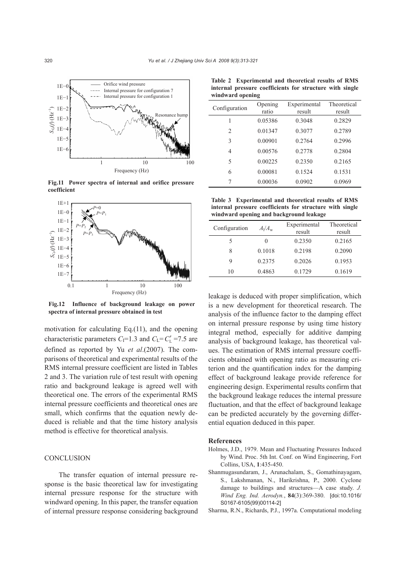

**Fig.11 Power spectra of internal and orifice pressure coefficient**



**Fig.12 Influence of background leakage on power spectra of internal pressure obtained in test**

motivation for calculating Eq.(11), and the opening characteristic parameters  $C_1=1.3$  and  $C_L=C'_L=7.5$  are defined as reported by Yu *et al*.(2007). The comparisons of theoretical and experimental results of the RMS internal pressure coefficient are listed in Tables 2 and 3. The variation rule of test result with opening ratio and background leakage is agreed well with theoretical one. The errors of the experimental RMS internal pressure coefficients and theoretical ones are small, which confirms that the equation newly deduced is reliable and that the time history analysis method is effective for theoretical analysis.

# **CONCLUSION**

The transfer equation of internal pressure response is the basic theoretical law for investigating internal pressure response for the structure with windward opening. In this paper, the transfer equation of internal pressure response considering background

| windward opening |                  |                        |                              |  |  |
|------------------|------------------|------------------------|------------------------------|--|--|
| Configuration    | Opening<br>ratio | Experimental<br>result | <b>Theoretical</b><br>result |  |  |
| 1                | 0.05386          | 0.3048                 | 0.2829                       |  |  |
| $\overline{2}$   | 0.01347          | 0.3077                 | 0.2789                       |  |  |
| 3                | 0.00901          | 0.2764                 | 0.2996                       |  |  |
| 4                | 0.00576          | 0.2778                 | 0.2804                       |  |  |
| 5                | 0.00225          | 0.2350                 | 0.2165                       |  |  |
| 6                | 0.00081          | 0.1524                 | 0.1531                       |  |  |
|                  | 0.00036          | 0.0902                 | 0.0969                       |  |  |

**Table 2 Experimental and theoretical results of RMS internal pressure coefficients for structure with single**

**Table 3 Experimental and theoretical results of RMS internal pressure coefficients for structure with single windward opening and background leakage** 

| Configuration | $A_1/A_{\rm w}$ | Experimental<br>result | Theoretical<br>result |
|---------------|-----------------|------------------------|-----------------------|
| 5             | $\mathbf{0}$    | 0.2350                 | 0.2165                |
| 8             | 0.1018          | 0.2198                 | 0.2090                |
| 9             | 0.2375          | 0.2026                 | 0.1953                |
| 10            | 0.4863          | 0.1729                 | 0.1619                |

leakage is deduced with proper simplification, which is a new development for theoretical research. The analysis of the influence factor to the damping effect on internal pressure response by using time history integral method, especially for additive damping analysis of background leakage, has theoretical values. The estimation of RMS internal pressure coefficients obtained with opening ratio as measuring criterion and the quantification index for the damping effect of background leakage provide reference for engineering design. Experimental results confirm that the background leakage reduces the internal pressure fluctuation, and that the effect of background leakage can be predicted accurately by the governing differential equation deduced in this paper.

#### **References**

- Holmes, J.D., 1979. Mean and Fluctuating Pressures Induced by Wind. Proc. 5th Int. Conf. on Wind Engineering, Fort Collins, USA, **1**:435-450.
- Shanmugasundaram, J., Arunachalam, S., Gomathinayagam, S., Lakshmanan, N., Harikrishna, P., 2000. Cyclone damage to buildings and structures—A case study. *J. Wind Eng. Ind. Aerodyn.*, **84**(3):369-380. [doi:10.1016/ S0167-6105(99)00114-2]
- Sharma, R.N., Richards, P.J., 1997a. Computational modeling